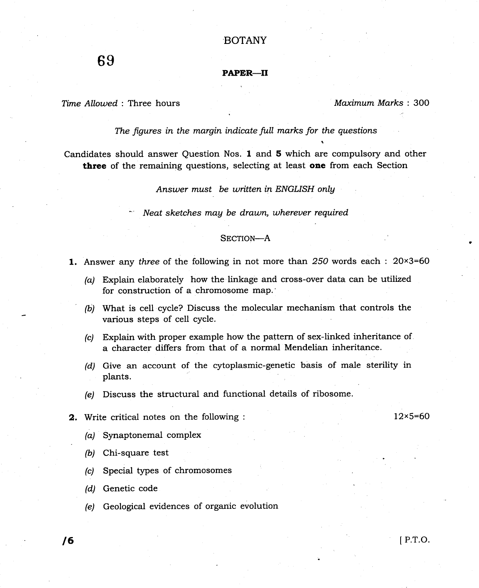## PAPER\_II

Time Allowed: Three hours Moximum Marks: 300

The figures in the margin indicate full marks for the questions

Candidates should answer Question Nos. 1 and 5 which are compulsory and other three of the remaining questions, selecting at least one from each Section

Answer must be written in ENGLISH onlg

Neat sketches may be drawn, wherever required

## SECTION-A

**1.** Answer any three of the following in not more than  $250$  words each:  $20 \times 3 = 60$ 

- (a) Explain elaborately how the linkage and cross-over data can be utilized for construction of a chromosome map.'
- (b) What is cell cycle? Discuss the molecular mechanism that controls the various steps of cell cycle.
- (c) Explain with proper example how the pattern of sex-linked inheritance of a character differs from that of a normal Mendelian inheritance.
- (d) Give an account of the cytoplasmic-genetic basis of male sterility in plants.
- (e) Discuss the structural and functional details of ribosome.
- **2.** Write critical notes on the following :  $12 \times 5=60$ 
	- (a) Synaptonemal complex
	- (b) Chi-square test
	- (c) Special types of chromosomes
	- (d) Genetic code
	- (e) Geological evidences of organic evolution

l6 <sup>I</sup>P.T.O.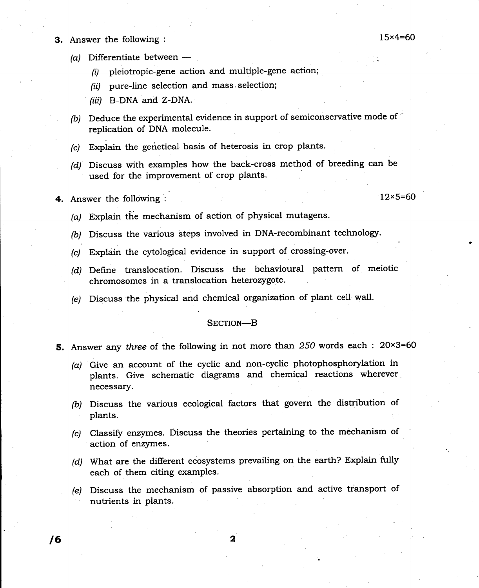**3.** Answer the following :  $15 \times 4 = 60$ 

- (a) Differentiate between
	- $(i)$  pleiotropic-gene action and multiple-gene action;
	- $(ii)$  pure-line selection and mass selection;
	- (iii) B-DNA and Z-DNA.
- (b) Deduce the experimental evidence in support of semiconservative mode of ' replication of DNA molecule.
- $(c)$  Explain the genetical basis of heterosis in crop plants.
- (d) Discuss with examples how the back-cross method of breeding can be used for the improvement of crop plants.

**4.** Answer the following :  $12 \times 5=60$ 

- $(a)$  Explain the mechanism of action of physical mutagens.
- (b) Discuss the various steps involved in DNA-recombinant technology.
- (c) Explain the cytological evidence in support of crossing-over.
- (d) Define translocation. Discuss the behavioural pattern of meiotic chromosomes in a translocation heterozygote.
- (e) Discuss the physical and chemical orgarization of plant cell wall.

## SECTION-B

- 5. Answer any three of the following in not more than  $250$  words each :  $20 \times 3=60$ 
	- (a) Give an account of the cyclic and non-cyclic photophosphorylation in plants. Give schematic diagrams and chemical reactions wherever necessary.
	- (b) Discuss the various ecological factors that govern the distribution of plants.
	- $(c)$  Classify enzymes. Discuss the theories pertaining to the mechanism of action of enzymes.
	- (d) What are the different ecosystems prevailing on the earth? Explain fully each of them citing examples.
	- (e) Discuss the mechanism of passive absorption and active transport of nutrients in plants.